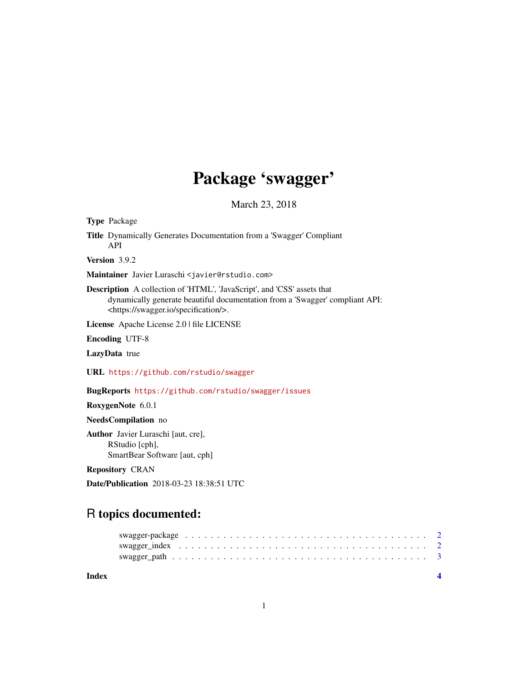## Package 'swagger'

March 23, 2018

Type Package Title Dynamically Generates Documentation from a 'Swagger' Compliant API Version 3.9.2 Maintainer Javier Luraschi <javier@rstudio.com> Description A collection of 'HTML', 'JavaScript', and 'CSS' assets that dynamically generate beautiful documentation from a 'Swagger' compliant API: <https://swagger.io/specification/>. License Apache License 2.0 | file LICENSE Encoding UTF-8 LazyData true

URL <https://github.com/rstudio/swagger>

BugReports <https://github.com/rstudio/swagger/issues>

RoxygenNote 6.0.1

NeedsCompilation no

Author Javier Luraschi [aut, cre], RStudio [cph], SmartBear Software [aut, cph]

Repository CRAN

Date/Publication 2018-03-23 18:38:51 UTC

### R topics documented:

| Index |  |  |  |  |  |  |  |  |  |  |  |  |  |  |  |  |  |  |
|-------|--|--|--|--|--|--|--|--|--|--|--|--|--|--|--|--|--|--|
|       |  |  |  |  |  |  |  |  |  |  |  |  |  |  |  |  |  |  |
|       |  |  |  |  |  |  |  |  |  |  |  |  |  |  |  |  |  |  |
|       |  |  |  |  |  |  |  |  |  |  |  |  |  |  |  |  |  |  |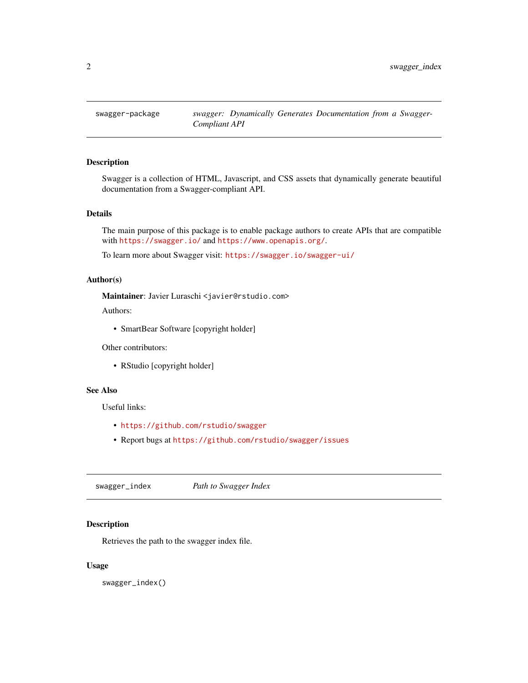<span id="page-1-0"></span>

#### Description

Swagger is a collection of HTML, Javascript, and CSS assets that dynamically generate beautiful documentation from a Swagger-compliant API.

#### Details

The main purpose of this package is to enable package authors to create APIs that are compatible with <https://swagger.io/> and <https://www.openapis.org/>.

To learn more about Swagger visit: <https://swagger.io/swagger-ui/>

#### Author(s)

Maintainer: Javier Luraschi <javier@rstudio.com>

Authors:

• SmartBear Software [copyright holder]

Other contributors:

• RStudio [copyright holder]

#### See Also

Useful links:

- <https://github.com/rstudio/swagger>
- Report bugs at <https://github.com/rstudio/swagger/issues>

swagger\_index *Path to Swagger Index*

#### Description

Retrieves the path to the swagger index file.

#### Usage

swagger\_index()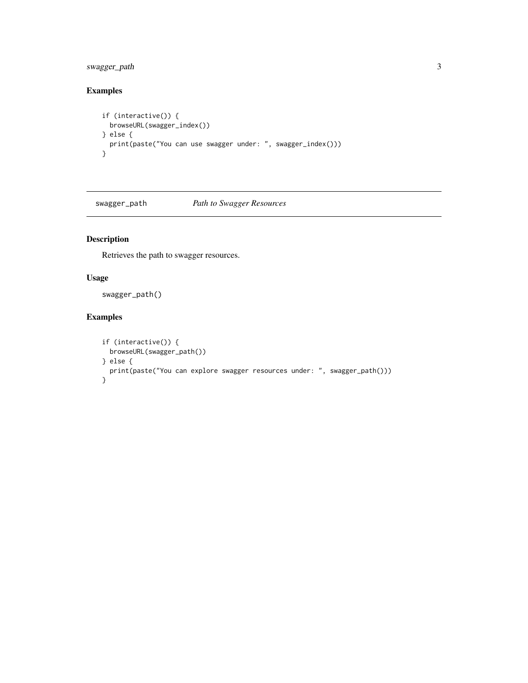#### <span id="page-2-0"></span>swagger\_path 3

#### Examples

```
if (interactive()) {
  browseURL(swagger_index())
} else {
  print(paste("You can use swagger under: ", swagger_index()))
}
```
swagger\_path *Path to Swagger Resources*

#### Description

Retrieves the path to swagger resources.

#### Usage

swagger\_path()

#### Examples

```
if (interactive()) {
  browseURL(swagger_path())
} else {
  print(paste("You can explore swagger resources under: ", swagger_path()))
}
```